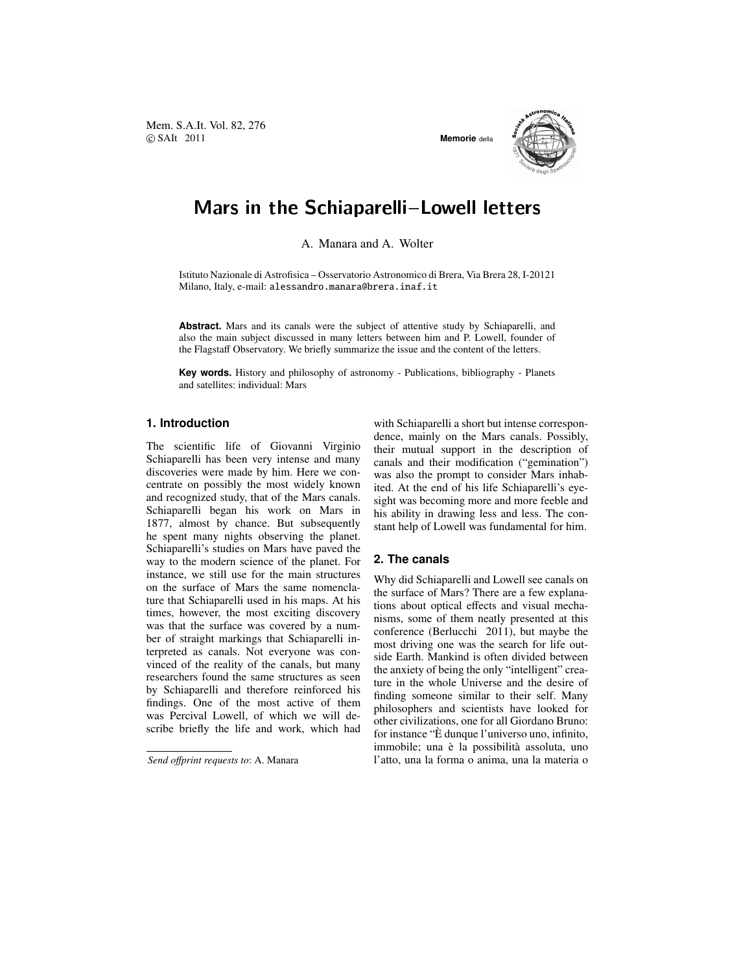Mem. S.A.It. Vol. 82, 276 c SAIt 2011 **Memorie** della



# Mars in the Schiaparelli−Lowell letters

A. Manara and A. Wolter

Istituto Nazionale di Astrofisica – Osservatorio Astronomico di Brera, Via Brera 28, I-20121 Milano, Italy, e-mail: alessandro.manara@brera.inaf.it

**Abstract.** Mars and its canals were the subject of attentive study by Schiaparelli, and also the main subject discussed in many letters between him and P. Lowell, founder of the Flagstaff Observatory. We briefly summarize the issue and the content of the letters.

**Key words.** History and philosophy of astronomy - Publications, bibliography - Planets and satellites: individual: Mars

# **1. Introduction**

The scientific life of Giovanni Virginio Schiaparelli has been very intense and many discoveries were made by him. Here we concentrate on possibly the most widely known and recognized study, that of the Mars canals. Schiaparelli began his work on Mars in 1877, almost by chance. But subsequently he spent many nights observing the planet. Schiaparelli's studies on Mars have paved the way to the modern science of the planet. For instance, we still use for the main structures on the surface of Mars the same nomenclature that Schiaparelli used in his maps. At his times, however, the most exciting discovery was that the surface was covered by a number of straight markings that Schiaparelli interpreted as canals. Not everyone was convinced of the reality of the canals, but many researchers found the same structures as seen by Schiaparelli and therefore reinforced his findings. One of the most active of them was Percival Lowell, of which we will describe briefly the life and work, which had

*Send o*ff*print requests to*: A. Manara

with Schiaparelli a short but intense correspondence, mainly on the Mars canals. Possibly, their mutual support in the description of canals and their modification ("gemination") was also the prompt to consider Mars inhabited. At the end of his life Schiaparelli's eyesight was becoming more and more feeble and his ability in drawing less and less. The constant help of Lowell was fundamental for him.

# **2. The canals**

Why did Schiaparelli and Lowell see canals on the surface of Mars? There are a few explanations about optical effects and visual mechanisms, some of them neatly presented at this conference (Berlucchi 2011), but maybe the most driving one was the search for life outside Earth. Mankind is often divided between the anxiety of being the only "intelligent" creature in the whole Universe and the desire of finding someone similar to their self. Many philosophers and scientists have looked for other civilizations, one for all Giordano Bruno: for instance "E` dunque l'universo uno, infinito, immobile; una è la possibilità assoluta, uno l'atto, una la forma o anima, una la materia o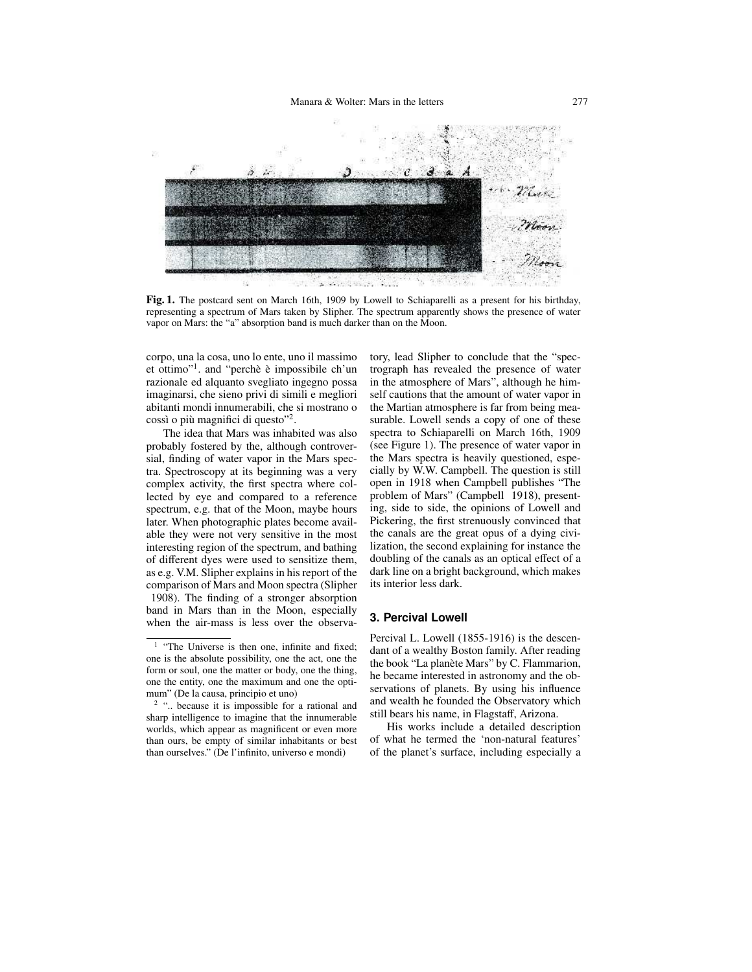

Fig. 1. The postcard sent on March 16th, 1909 by Lowell to Schiaparelli as a present for his birthday, representing a spectrum of Mars taken by Slipher. The spectrum apparently shows the presence of water vapor on Mars: the "a" absorption band is much darker than on the Moon.

corpo, una la cosa, uno lo ente, uno il massimo et ottimo"<sup>1</sup>. and "perchè è impossibile ch'un razionale ed alquanto svegliato ingegno possa imaginarsi, che sieno privi di simili e megliori abitanti mondi innumerabili, che si mostrano o cossì o più magnifici di questo"<sup>2</sup>.

The idea that Mars was inhabited was also probably fostered by the, although controversial, finding of water vapor in the Mars spectra. Spectroscopy at its beginning was a very complex activity, the first spectra where collected by eye and compared to a reference spectrum, e.g. that of the Moon, maybe hours later. When photographic plates become available they were not very sensitive in the most interesting region of the spectrum, and bathing of different dyes were used to sensitize them, as e.g. V.M. Slipher explains in his report of the comparison of Mars and Moon spectra (Slipher 1908). The finding of a stronger absorption

band in Mars than in the Moon, especially when the air-mass is less over the observatory, lead Slipher to conclude that the "spectrograph has revealed the presence of water in the atmosphere of Mars", although he himself cautions that the amount of water vapor in the Martian atmosphere is far from being measurable. Lowell sends a copy of one of these spectra to Schiaparelli on March 16th, 1909 (see Figure 1). The presence of water vapor in the Mars spectra is heavily questioned, especially by W.W. Campbell. The question is still open in 1918 when Campbell publishes "The problem of Mars" (Campbell 1918), presenting, side to side, the opinions of Lowell and Pickering, the first strenuously convinced that the canals are the great opus of a dying civilization, the second explaining for instance the doubling of the canals as an optical effect of a dark line on a bright background, which makes its interior less dark.

#### **3. Percival Lowell**

Percival L. Lowell (1855-1916) is the descendant of a wealthy Boston family. After reading the book "La planète Mars" by C. Flammarion, he became interested in astronomy and the observations of planets. By using his influence and wealth he founded the Observatory which still bears his name, in Flagstaff, Arizona.

His works include a detailed description of what he termed the 'non-natural features' of the planet's surface, including especially a

<sup>&</sup>lt;sup>1</sup> "The Universe is then one, infinite and fixed; one is the absolute possibility, one the act, one the form or soul, one the matter or body, one the thing, one the entity, one the maximum and one the optimum" (De la causa, principio et uno)

<sup>&</sup>lt;sup>2</sup> ".. because it is impossible for a rational and sharp intelligence to imagine that the innumerable worlds, which appear as magnificent or even more than ours, be empty of similar inhabitants or best than ourselves." (De l'infinito, universo e mondi)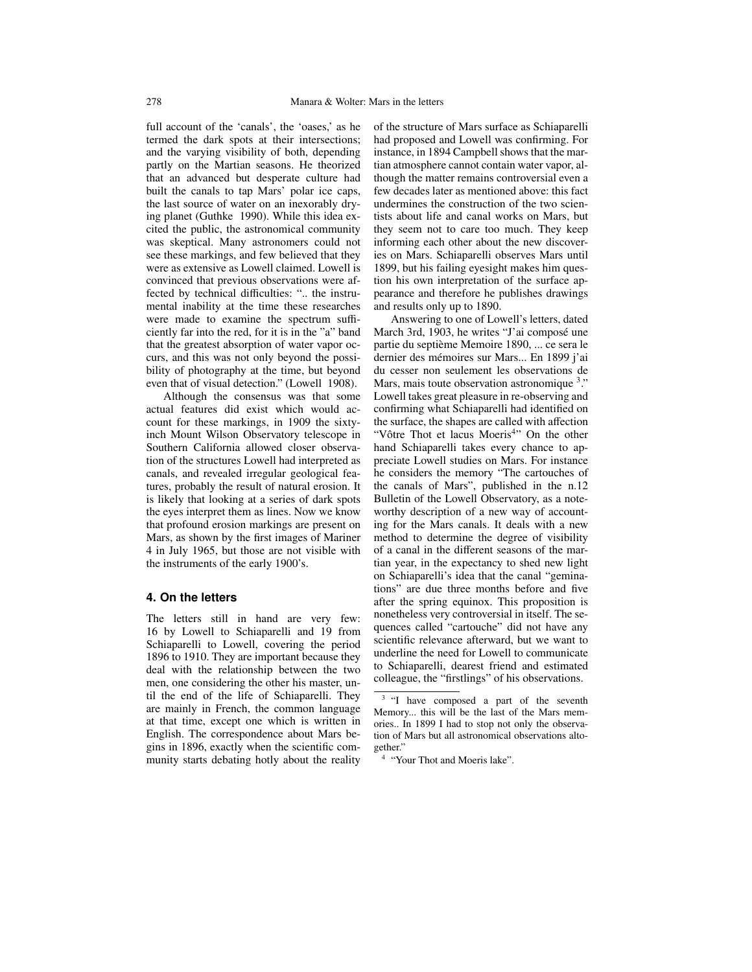full account of the 'canals', the 'oases,' as he termed the dark spots at their intersections; and the varying visibility of both, depending partly on the Martian seasons. He theorized that an advanced but desperate culture had built the canals to tap Mars' polar ice caps, the last source of water on an inexorably drying planet (Guthke 1990). While this idea excited the public, the astronomical community was skeptical. Many astronomers could not see these markings, and few believed that they were as extensive as Lowell claimed. Lowell is convinced that previous observations were affected by technical difficulties: ".. the instrumental inability at the time these researches were made to examine the spectrum sufficiently far into the red, for it is in the "a" band that the greatest absorption of water vapor occurs, and this was not only beyond the possibility of photography at the time, but beyond even that of visual detection." (Lowell 1908).

Although the consensus was that some actual features did exist which would account for these markings, in 1909 the sixtyinch Mount Wilson Observatory telescope in Southern California allowed closer observation of the structures Lowell had interpreted as canals, and revealed irregular geological features, probably the result of natural erosion. It is likely that looking at a series of dark spots the eyes interpret them as lines. Now we know that profound erosion markings are present on Mars, as shown by the first images of Mariner 4 in July 1965, but those are not visible with the instruments of the early 1900's.

## **4. On the letters**

The letters still in hand are very few: 16 by Lowell to Schiaparelli and 19 from Schiaparelli to Lowell, covering the period 1896 to 1910. They are important because they deal with the relationship between the two men, one considering the other his master, until the end of the life of Schiaparelli. They are mainly in French, the common language at that time, except one which is written in English. The correspondence about Mars begins in 1896, exactly when the scientific community starts debating hotly about the reality of the structure of Mars surface as Schiaparelli had proposed and Lowell was confirming. For instance, in 1894 Campbell shows that the martian atmosphere cannot contain water vapor, although the matter remains controversial even a few decades later as mentioned above: this fact undermines the construction of the two scientists about life and canal works on Mars, but they seem not to care too much. They keep informing each other about the new discoveries on Mars. Schiaparelli observes Mars until 1899, but his failing eyesight makes him question his own interpretation of the surface appearance and therefore he publishes drawings and results only up to 1890.

Answering to one of Lowell's letters, dated March 3rd, 1903, he writes "J'ai composé une partie du septième Memoire 1890, ... ce sera le dernier des mémoires sur Mars... En 1899 j'ai du cesser non seulement les observations de Mars, mais toute observation astronomique <sup>3</sup>." Lowell takes great pleasure in re-observing and confirming what Schiaparelli had identified on the surface, the shapes are called with affection "Vôtre Thot et lacus Moeris<sup>4</sup>" On the other hand Schiaparelli takes every chance to appreciate Lowell studies on Mars. For instance he considers the memory "The cartouches of the canals of Mars", published in the n.12 Bulletin of the Lowell Observatory, as a noteworthy description of a new way of accounting for the Mars canals. It deals with a new method to determine the degree of visibility of a canal in the different seasons of the martian year, in the expectancy to shed new light on Schiaparelli's idea that the canal "geminations" are due three months before and five after the spring equinox. This proposition is nonetheless very controversial in itself. The sequences called "cartouche" did not have any scientific relevance afterward, but we want to underline the need for Lowell to communicate to Schiaparelli, dearest friend and estimated colleague, the "firstlings" of his observations.

<sup>&</sup>lt;sup>3</sup> "I have composed a part of the seventh Memory... this will be the last of the Mars memories.. In 1899 I had to stop not only the observation of Mars but all astronomical observations altogether."

<sup>4</sup> "Your Thot and Moeris lake".